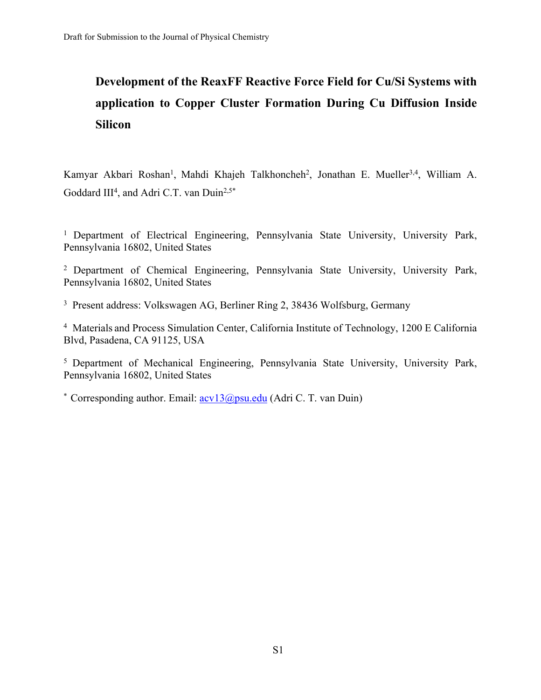## **Development of the ReaxFF Reactive Force Field for Cu/Si Systems with application to Copper Cluster Formation During Cu Diffusion Inside Silicon**

Kamyar Akbari Roshan<sup>1</sup>, Mahdi Khajeh Talkhoncheh<sup>2</sup>, Jonathan E. Mueller<sup>3,4</sup>, William A. Goddard III<sup>4</sup>, and Adri C.T. van Duin<sup>2,5\*</sup>

<sup>1</sup> Department of Electrical Engineering, Pennsylvania State University, University Park, Pennsylvania 16802, United States

<sup>2</sup>Department of Chemical Engineering, Pennsylvania State University, University Park, Pennsylvania 16802, United States

<sup>3</sup> Present address: Volkswagen AG, Berliner Ring 2, 38436 Wolfsburg, Germany

<sup>4</sup> Materials and Process Simulation Center, California Institute of Technology, 1200 E California Blvd, Pasadena, CA 91125, USA

<sup>5</sup> Department of Mechanical Engineering, Pennsylvania State University, University Park, Pennsylvania 16802, United States

\* Corresponding author. Email:  $\frac{\text{acv13}}{\text{apsu.edu}}$  (Adri C. T. van Duin)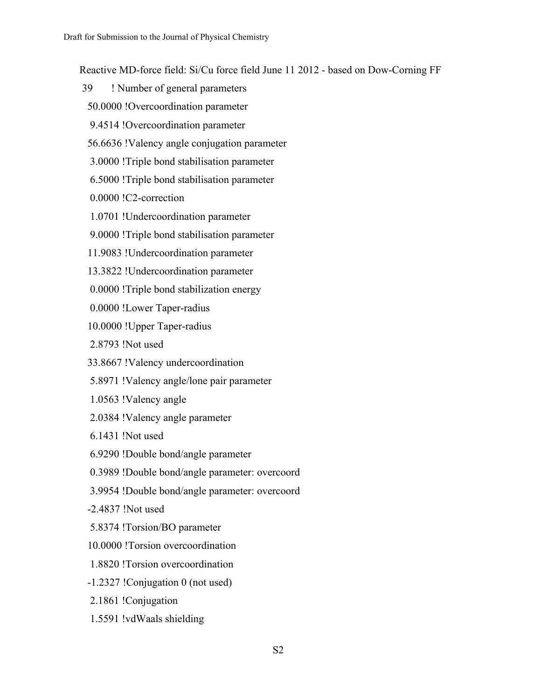Reactive MD-force field: Si/Cu force field June 11 2012 - based on Dow-Corning FF

- 39 ! Number of general parameters
- 50.0000 !Overcoordination parameter
- 9.4514 !Overcoordination parameter
- 56.6636 !Valency angle conjugation parameter
- 3.0000 !Triple bond stabilisation parameter
- 6.5000 !Triple bond stabilisation parameter
- 0.0000 !C2-correction
- 1.0701 !Undercoordination parameter
- 9.0000 !Triple bond stabilisation parameter
- 11.9083 !Undercoordination parameter
- 13.3822 !Undercoordination parameter
- 0.0000 !Triple bond stabilization energy
- 0.0000 !Lower Taper-radius
- 10.0000 !Upper Taper-radius
- 2.8793 !Not used
- 33.8667 !Valency undercoordination
- 5.8971 !Valency angle/lone pair parameter
- 1.0563 !Valency angle
- 2.0384 !Valency angle parameter
- 6.1431 !Not used
- 6.9290 !Double bond/angle parameter
- 0.3989 !Double bond/angle parameter: overcoord
- 3.9954 !Double bond/angle parameter: overcoord
- -2.4837 !Not used
- 5.8374 !Torsion/BO parameter
- 10.0000 !Torsion overcoordination
- 1.8820 !Torsion overcoordination
- -1.2327 !Conjugation 0 (not used)
- 2.1861 !Conjugation
- 1.5591 !vdWaals shielding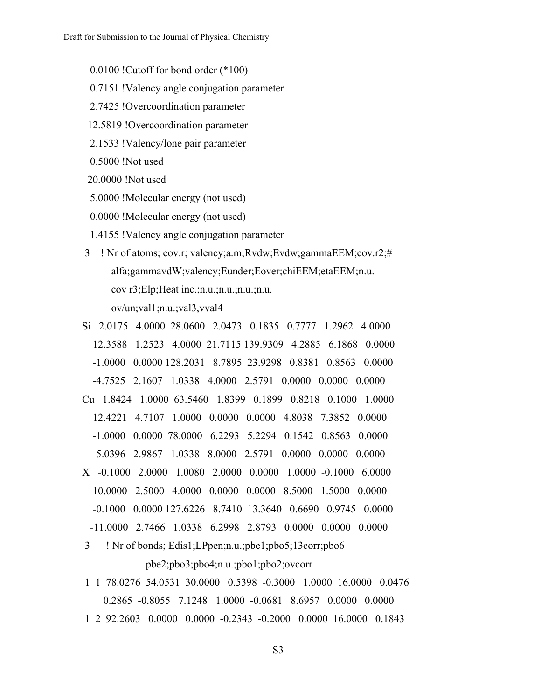0.0100 !Cutoff for bond order (\*100)

- 0.7151 !Valency angle conjugation parameter
- 2.7425 !Overcoordination parameter
- 12.5819 !Overcoordination parameter
- 2.1533 !Valency/lone pair parameter
- 0.5000 !Not used
- 20.0000 !Not used
- 5.0000 !Molecular energy (not used)
- 0.0000 !Molecular energy (not used)
- 1.4155 !Valency angle conjugation parameter
- 3 ! Nr of atoms; cov.r; valency;a.m;Rvdw;Evdw;gammaEEM;cov.r2;# alfa;gammavdW;valency;Eunder;Eover;chiEEM;etaEEM;n.u. cov r3;Elp;Heat inc.;n.u.;n.u.;n.u.;n.u.

ov/un;val1;n.u.;val3,vval4

- Si 2.0175 4.0000 28.0600 2.0473 0.1835 0.7777 1.2962 4.0000 12.3588 1.2523 4.0000 21.7115 139.9309 4.2885 6.1868 0.0000 -1.0000 0.0000 128.2031 8.7895 23.9298 0.8381 0.8563 0.0000 -4.7525 2.1607 1.0338 4.0000 2.5791 0.0000 0.0000 0.0000 Cu 1.8424 1.0000 63.5460 1.8399 0.1899 0.8218 0.1000 1.0000 12.4221 4.7107 1.0000 0.0000 0.0000 4.8038 7.3852 0.0000 -1.0000 0.0000 78.0000 6.2293 5.2294 0.1542 0.8563 0.0000 -5.0396 2.9867 1.0338 8.0000 2.5791 0.0000 0.0000 0.0000 X -0.1000 2.0000 1.0080 2.0000 0.0000 1.0000 -0.1000 6.0000 10.0000 2.5000 4.0000 0.0000 0.0000 8.5000 1.5000 0.0000 -0.1000 0.0000 127.6226 8.7410 13.3640 0.6690 0.9745 0.0000 -11.0000 2.7466 1.0338 6.2998 2.8793 0.0000 0.0000 0.0000
- 3 ! Nr of bonds; Edis1;LPpen;n.u.;pbe1;pbo5;13corr;pbo6 pbe2;pbo3;pbo4;n.u.;pbo1;pbo2;ovcorr
- 1 1 78.0276 54.0531 30.0000 0.5398 -0.3000 1.0000 16.0000 0.0476 0.2865 -0.8055 7.1248 1.0000 -0.0681 8.6957 0.0000 0.0000 1 2 92.2603 0.0000 0.0000 -0.2343 -0.2000 0.0000 16.0000 0.1843